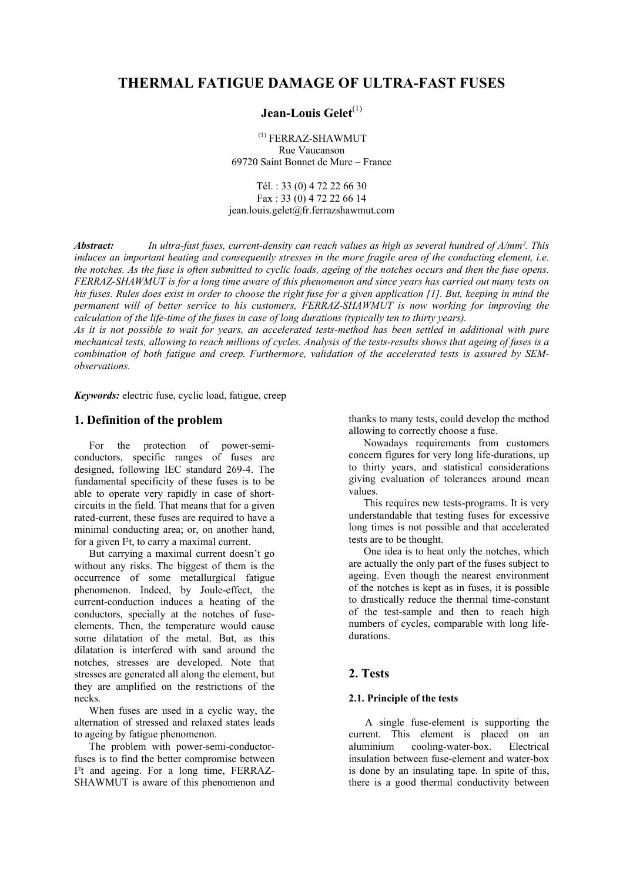# **THERMAL FATIGUE DAMAGE OF ULTRA-FAST FUSES**

# **Jean-Louis Gelet**<sup>(1)</sup>

 (1) FERRAZ-SHAWMUT Rue Vaucanson 69720 Saint Bonnet de Mure – France

Tél. : 33 (0) 4 72 22 66 30 Fax : 33 (0) 4 72 22 66 14 jean.louis.gelet@fr.ferrazshawmut.com

*Abstract: In ultra-fast fuses, current-density can reach values as high as several hundred of A/mm². This induces an important heating and consequently stresses in the more fragile area of the conducting element, i.e. the notches. As the fuse is often submitted to cyclic loads, ageing of the notches occurs and then the fuse opens. FERRAZ-SHAWMUT is for a long time aware of this phenomenon and since years has carried out many tests on his fuses. Rules does exist in order to choose the right fuse for a given application [1]. But, keeping in mind the permanent will of better service to his customers, FERRAZ-SHAWMUT is now working for improving the calculation of the life-time of the fuses in case of long durations (typically ten to thirty years).* 

*As it is not possible to wait for years, an accelerated tests-method has been settled in additional with pure mechanical tests, allowing to reach millions of cycles. Analysis of the tests-results shows that ageing of fuses is a combination of both fatigue and creep. Furthermore, validation of the accelerated tests is assured by SEMobservations.* 

*Keywords:* electric fuse, cyclic load, fatigue, creep

# **1. Definition of the problem**

For the protection of power-semiconductors, specific ranges of fuses are designed, following IEC standard 269-4. The fundamental specificity of these fuses is to be able to operate very rapidly in case of shortcircuits in the field. That means that for a given rated-current, these fuses are required to have a minimal conducting area; or, on another hand, for a given I²t, to carry a maximal current.

But carrying a maximal current doesn't go without any risks. The biggest of them is the occurrence of some metallurgical fatigue phenomenon. Indeed, by Joule-effect, the current-conduction induces a heating of the conductors, specially at the notches of fuseelements. Then, the temperature would cause some dilatation of the metal. But, as this dilatation is interfered with sand around the notches, stresses are developed. Note that stresses are generated all along the element, but they are amplified on the restrictions of the necks.

When fuses are used in a cyclic way, the alternation of stressed and relaxed states leads to ageing by fatigue phenomenon.

The problem with power-semi-conductorfuses is to find the better compromise between I²t and ageing. For a long time, FERRAZ-SHAWMUT is aware of this phenomenon and thanks to many tests, could develop the method allowing to correctly choose a fuse.

Nowadays requirements from customers concern figures for very long life-durations, up to thirty years, and statistical considerations giving evaluation of tolerances around mean values.

This requires new tests-programs. It is very understandable that testing fuses for excessive long times is not possible and that accelerated tests are to be thought.

One idea is to heat only the notches, which are actually the only part of the fuses subject to ageing. Even though the nearest environment of the notches is kept as in fuses, it is possible to drastically reduce the thermal time-constant of the test-sample and then to reach high numbers of cycles, comparable with long lifedurations.

# **2. Tests**

# **2.1. Principle of the tests**

A single fuse-element is supporting the current. This element is placed on an aluminium cooling-water-box. Electrical insulation between fuse-element and water-box is done by an insulating tape. In spite of this, there is a good thermal conductivity between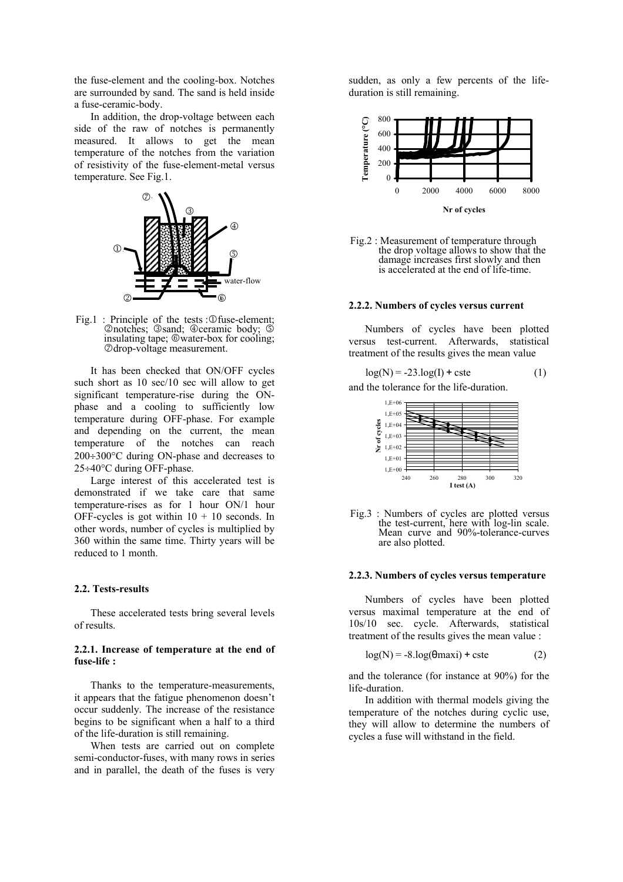the fuse-element and the cooling-box. Notches are surrounded by sand. The sand is held inside a fuse-ceramic-body.

In addition, the drop-voltage between each side of the raw of notches is permanently measured. It allows to get the mean temperature of the notches from the variation of resistivity of the fuse-element-metal versus temperature. See Fig.1.



Fig.1 : Principle of the tests : $@$  fuse-element; 2notches; 3sand; 4ceramic body; 5 insulating tape; ©water-box for cooling; 7drop-voltage measurement.

It has been checked that ON/OFF cycles such short as 10 sec/10 sec will allow to get significant temperature-rise during the ONphase and a cooling to sufficiently low temperature during OFF-phase. For example and depending on the current, the mean temperature of the notches can reach 200÷300°C during ON-phase and decreases to 25÷40°C during OFF-phase.

Large interest of this accelerated test is demonstrated if we take care that same temperature-rises as for 1 hour ON/1 hour OFF-cycles is got within  $10 + 10$  seconds. In other words, number of cycles is multiplied by 360 within the same time. Thirty years will be reduced to 1 month.

### **2.2. Tests-results**

These accelerated tests bring several levels of results.

### **2.2.1. Increase of temperature at the end of fuse-life :**

Thanks to the temperature-measurements, it appears that the fatigue phenomenon doesn't occur suddenly. The increase of the resistance begins to be significant when a half to a third of the life-duration is still remaining.

When tests are carried out on complete semi-conductor-fuses, with many rows in series and in parallel, the death of the fuses is very sudden, as only a few percents of the lifeduration is still remaining.



Fig.2 : Measurement of temperature through the drop voltage allows to show that the damage increases first slowly and then is accelerated at the end of life-time.

#### **2.2.2. Numbers of cycles versus current**

Numbers of cycles have been plotted versus test-current. Afterwards, statistical treatment of the results gives the mean value

$$
log(N) = -23 log(I) + cste
$$
 (1)

and the tolerance for the life-duration.



Fig.3 : Numbers of cycles are plotted versus the test-current, here with log-lin scale. Mean curve and 90%-tolerance-curves are also plotted.

#### **2.2.3. Numbers of cycles versus temperature**

Numbers of cycles have been plotted versus maximal temperature at the end of 10s/10 sec. cycle. Afterwards, statistical treatment of the results gives the mean value :

$$
log(N) = -8.log(\theta maxi) + cste
$$
 (2)

and the tolerance (for instance at 90%) for the life-duration.

In addition with thermal models giving the temperature of the notches during cyclic use, they will allow to determine the numbers of cycles a fuse will withstand in the field.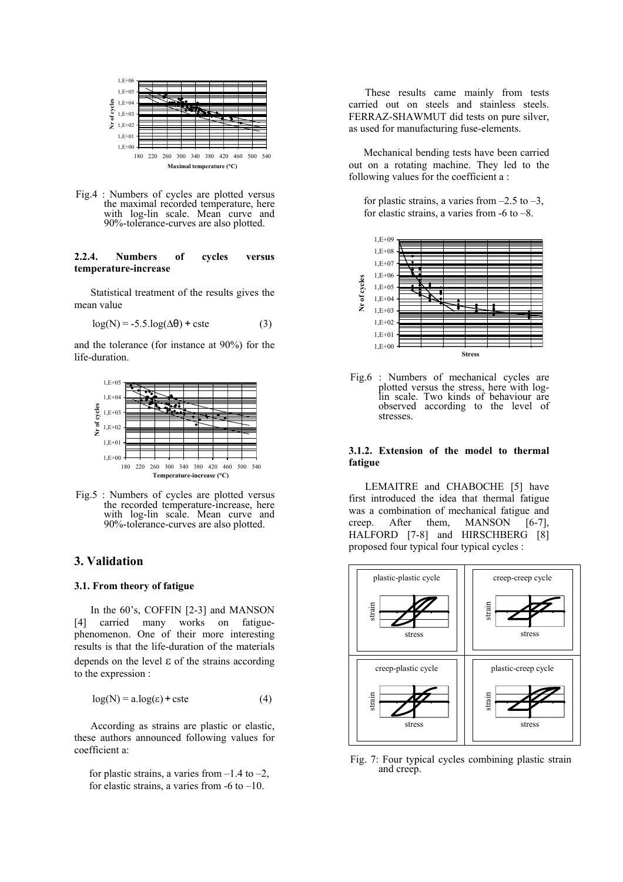

Fig.4 : Numbers of cycles are plotted versus the maximal recorded temperature, here with log-lin scale. Mean curve and 90%-tolerance-curves are also plotted.

## **2.2.4. Numbers of cycles versus temperature-increase**

Statistical treatment of the results gives the mean value

$$
log(N) = -5.5.log(\Delta\theta) + cste
$$
 (3)

and the tolerance (for instance at 90%) for the life-duration.



Fig.5 : Numbers of cycles are plotted versus the recorded temperature-increase, here with log-lin scale. Mean curve and 90%-tolerance-curves are also plotted.

### **3. Validation**

#### **3.1. From theory of fatigue**

In the 60's, COFFIN [2-3] and MANSON [4] carried many works on fatiguephenomenon. One of their more interesting results is that the life-duration of the materials depends on the level  $\varepsilon$  of the strains according to the expression :

$$
log(N) = a log(\varepsilon) + cste
$$
 (4)

According as strains are plastic or elastic, these authors announced following values for coefficient a:

for plastic strains, a varies from  $-1.4$  to  $-2$ , for elastic strains, a varies from  $-6$  to  $-10$ .

These results came mainly from tests carried out on steels and stainless steels. FERRAZ-SHAWMUT did tests on pure silver, as used for manufacturing fuse-elements.

Mechanical bending tests have been carried out on a rotating machine. They led to the following values for the coefficient a :

for plastic strains, a varies from  $-2.5$  to  $-3$ , for elastic strains, a varies from  $-6$  to  $-8$ .



Fig.6 : Numbers of mechanical cycles are plotted versus the stress, here with loglin scale. Two kinds of behaviour are observed according to the level of stresses.

#### **3.1.2. Extension of the model to thermal fatigue**

LEMAITRE and CHABOCHE [5] have first introduced the idea that thermal fatigue was a combination of mechanical fatigue and creep. After them, MANSON [6-7], HALFORD [7-8] and HIRSCHBERG [8] proposed four typical four typical cycles :



Fig. 7: Four typical cycles combining plastic strain and creep.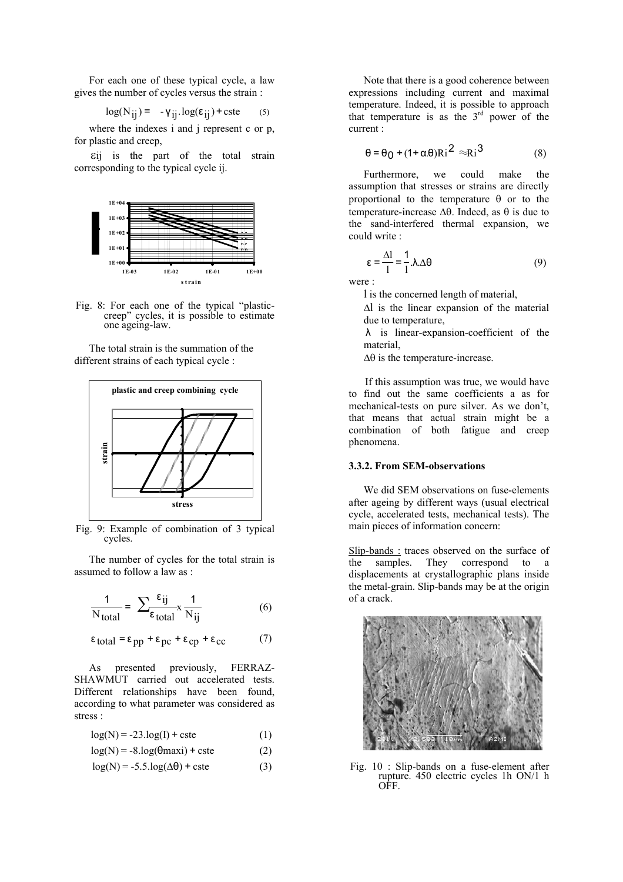For each one of these typical cycle, a law gives the number of cycles versus the strain :

$$
\log(N_{ij}) = -\gamma_{ij} \cdot \log(\epsilon_{ij}) + \text{cste} \qquad (5)
$$

where the indexes i and j represent c or p, for plastic and creep,

εij is the part of the total strain corresponding to the typical cycle ij.



Fig. 8: For each one of the typical "plasticcreep" cycles, it is possible to estimate one ageing-law.

The total strain is the summation of the different strains of each typical cycle :



Fig. 9: Example of combination of 3 typical cycles.

The number of cycles for the total strain is assumed to follow a law as :

$$
\frac{1}{N_{\text{total}}} = \sum_{\epsilon_{\text{total}}} \frac{\epsilon_{ij}}{N_{ij}} \times \frac{1}{N_{ij}}
$$
(6)

$$
\varepsilon_{\text{total}} = \varepsilon_{\text{pp}} + \varepsilon_{\text{pc}} + \varepsilon_{\text{cp}} + \varepsilon_{\text{cc}} \tag{7}
$$

As presented previously, FERRAZ-SHAWMUT carried out accelerated tests. Different relationships have been found, according to what parameter was considered as stress :

$$
log(N) = -23.log(1) + cste
$$
 (1)

$$
log(N) = -8.log(\theta maxi) + cste
$$
 (2)

$$
log(N) = -5.5.log(\Delta\theta) + \text{cste}
$$
 (3)

Note that there is a good coherence between expressions including current and maximal temperature. Indeed, it is possible to approach that temperature is as the 3rd power of the current :

$$
\theta = \theta_0 + (1 + \alpha \theta) Ri^2 \approx Ri^3 \tag{8}
$$

Furthermore, we could make the assumption that stresses or strains are directly proportional to the temperature θ or to the temperature-increase  $Δθ$ . Indeed, as  $θ$  is due to the sand-interfered thermal expansion, we could write :

$$
\varepsilon = \frac{\Delta l}{l} = \frac{1}{l} . \lambda . \Delta \theta
$$
 (9)

were :

l is the concerned length of material,

∆l is the linear expansion of the material due to temperature,

λ is linear-expansion-coefficient of the material,

∆θ is the temperature-increase.

If this assumption was true, we would have to find out the same coefficients a as for mechanical-tests on pure silver. As we don't, that means that actual strain might be a combination of both fatigue and creep phenomena.

# **3.3.2. From SEM-observations**

We did SEM observations on fuse-elements after ageing by different ways (usual electrical cycle, accelerated tests, mechanical tests). The main pieces of information concern:

Slip-bands : traces observed on the surface of<br>the samples. They correspond to a They correspond to a displacements at crystallographic plans inside the metal-grain. Slip-bands may be at the origin of a crack.



Fig. 10 : Slip-bands on a fuse-element after rupture. 450 electric cycles 1h ON/1 h OFF.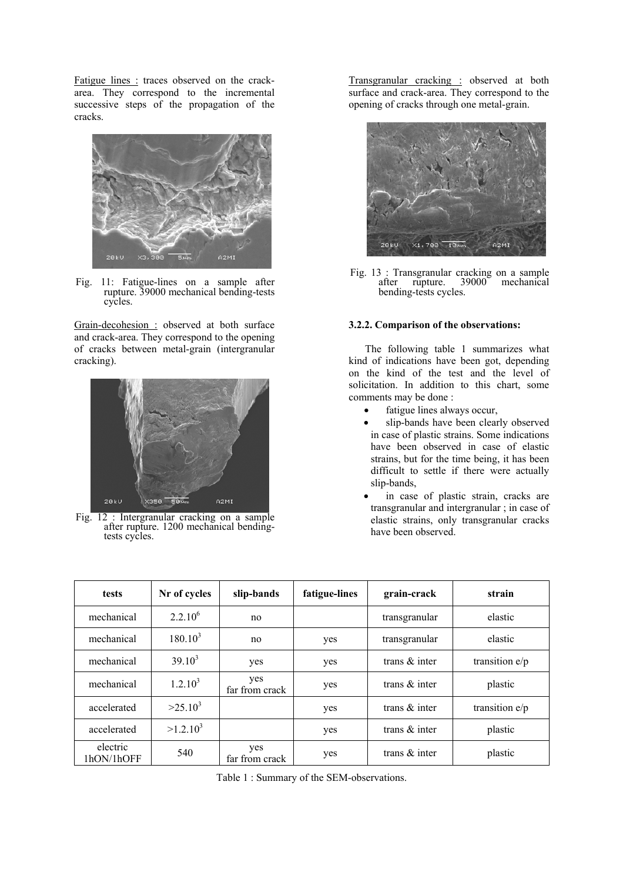Fatigue lines : traces observed on the crackarea. They correspond to the incremental successive steps of the propagation of the cracks.



Fig. 11: Fatigue-lines on a sample after rupture. 39000 mechanical bending-tests cycles.

Grain-decohesion : observed at both surface and crack-area. They correspond to the opening of cracks between metal-grain (intergranular cracking).



Fig. 12 : Intergranular cracking on a sample after rupture. 1200 mechanical bendingtests cycles.

Transgranular cracking : observed at both surface and crack-area. They correspond to the opening of cracks through one metal-grain.



Fig. 13 : Transgranular cracking on a sample<br>after upture. 39000 mechanical after rupture.  $39000^{\circ}$ bending-tests cycles.

# **3.2.2. Comparison of the observations:**

The following table 1 summarizes what kind of indications have been got, depending on the kind of the test and the level of solicitation. In addition to this chart, some comments may be done :

- fatigue lines always occur,
- slip-bands have been clearly observed in case of plastic strains. Some indications have been observed in case of elastic strains, but for the time being, it has been difficult to settle if there were actually slip-bands,
- in case of plastic strain, cracks are transgranular and intergranular ; in case of elastic strains, only transgranular cracks have been observed.

| tests                  | Nr of cycles | slip-bands            | fatigue-lines | grain-crack      | strain           |
|------------------------|--------------|-----------------------|---------------|------------------|------------------|
| mechanical             | $2.2.10^{6}$ | no                    |               | transgranular    | elastic          |
| mechanical             | $180.10^{3}$ | no                    | yes           | transgranular    | elastic          |
| mechanical             | $39.10^{3}$  | yes                   | yes           | trans $\&$ inter | transition $e/p$ |
| mechanical             | $1.2.10^{3}$ | yes<br>far from crack | yes           | trans $\&$ inter | plastic          |
| accelerated            | $>25.10^3$   |                       | yes           | trans $\&$ inter | transition $e/p$ |
| accelerated            | $>1.2.10^3$  |                       | yes           | trans $\&$ inter | plastic          |
| electric<br>1hON/1hOFF | 540          | yes<br>far from crack | yes           | trans $\&$ inter | plastic          |

Table 1 : Summary of the SEM-observations.